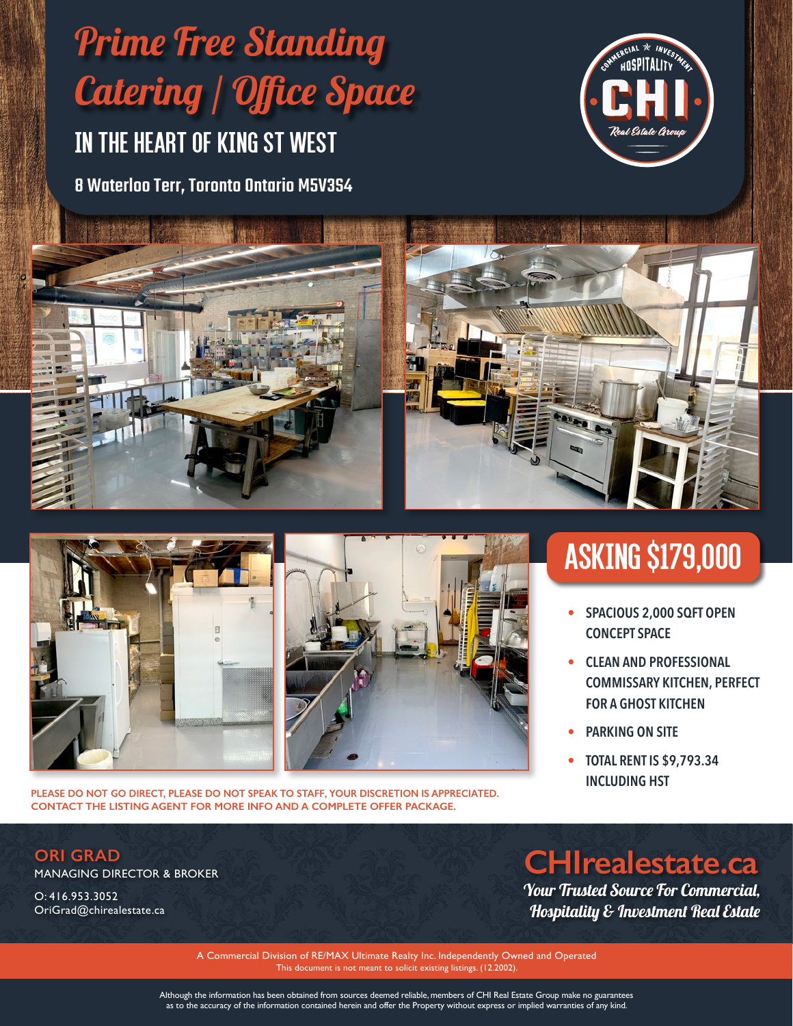# 8 Waterloo Terr, Toronto Ontario M5V3S4 In The Heart Of King St West Prime Free Standing Catering / Office Space









**PLEASE DO NOT GO DIRECT, PLEASE DO NOT SPEAK TO STAFF, YOUR DISCRETION IS APPRECIATED. CONTACT THE LISTING AGENT FOR MORE INFO AND A COMPLETE OFFER PACKAGE.**

# asking \$179,000

- **• SPACIOUS 2,000 SQFT OPEN CONCEPT SPACE**
- **• CLEAN AND PROFESSIONAL COMMISSARY KITCHEN, PERFECT FOR A GHOST KITCHEN**
- **• PARKING ON SITE**
- **• TOTAL RENT IS \$9,793.34 INCLUDING HST**

### **ORI GRAD**

MANAGING DIRECTOR & BROKER

O: 416.953.3052 OriGrad@chirealestate.ca

## **CHIrealestate.ca**

Your Trusted Source For Commercial, Hospitality & Investment Real Estate

A Commercial Division of RE/MAX Ultimate Realty Inc. Independently Owned and Operated This document is not meant to solicit existing listings. (12.2002).

Although the information has been obtained from sources deemed reliable, members of CHI Real Estate Group make no guarantees as to the accuracy of the information contained herein and offer the Property without express or implied warranties of any kind.